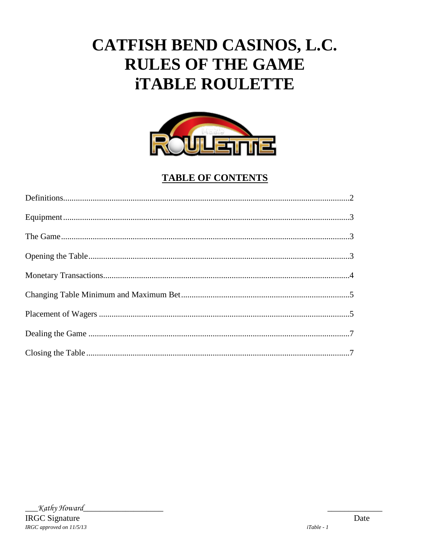# CATFISH BEND CASINOS, L.C. **RULES OF THE GAME iTABLE ROULETTE**



# **TABLE OF CONTENTS**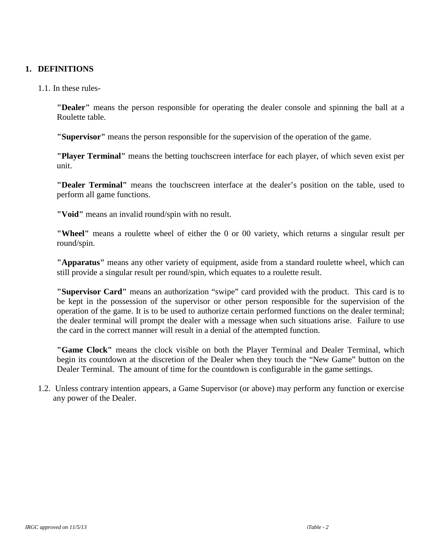#### **1. DEFINITIONS**

1.1. In these rules-

**"Dealer"** means the person responsible for operating the dealer console and spinning the ball at a Roulette table.

**"Supervisor"** means the person responsible for the supervision of the operation of the game.

**"Player Terminal"** means the betting touchscreen interface for each player, of which seven exist per unit.

**"Dealer Terminal"** means the touchscreen interface at the dealer's position on the table, used to perform all game functions.

**"Void"** means an invalid round/spin with no result.

**"Wheel"** means a roulette wheel of either the 0 or 00 variety, which returns a singular result per round/spin.

**"Apparatus"** means any other variety of equipment, aside from a standard roulette wheel, which can still provide a singular result per round/spin, which equates to a roulette result.

**"Supervisor Card"** means an authorization "swipe" card provided with the product. This card is to be kept in the possession of the supervisor or other person responsible for the supervision of the operation of the game. It is to be used to authorize certain performed functions on the dealer terminal; the dealer terminal will prompt the dealer with a message when such situations arise. Failure to use the card in the correct manner will result in a denial of the attempted function.

**"Game Clock"** means the clock visible on both the Player Terminal and Dealer Terminal, which begin its countdown at the discretion of the Dealer when they touch the "New Game" button on the Dealer Terminal. The amount of time for the countdown is configurable in the game settings.

1.2. Unless contrary intention appears, a Game Supervisor (or above) may perform any function or exercise any power of the Dealer.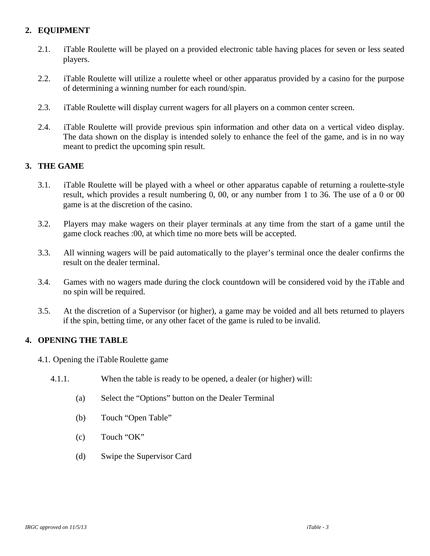# **2. EQUIPMENT**

- 2.1. iTable Roulette will be played on a provided electronic table having places for seven or less seated players.
- 2.2. iTable Roulette will utilize a roulette wheel or other apparatus provided by a casino for the purpose of determining a winning number for each round/spin.
- 2.3. iTable Roulette will display current wagers for all players on a common center screen.
- 2.4. iTable Roulette will provide previous spin information and other data on a vertical video display. The data shown on the display is intended solely to enhance the feel of the game, and is in no way meant to predict the upcoming spin result.

# **3. THE GAME**

- 3.1. iTable Roulette will be played with a wheel or other apparatus capable of returning a roulette-style result, which provides a result numbering 0, 00, or any number from 1 to 36. The use of a 0 or 00 game is at the discretion of the casino.
- 3.2. Players may make wagers on their player terminals at any time from the start of a game until the game clock reaches :00, at which time no more bets will be accepted.
- 3.3.All winning wagers will be paid automatically to the player's terminal once the dealer confirms the result on the dealer terminal.
- 3.4. Games with no wagers made during the clock countdown will be considered void by the iTable and no spin will be required.
- 3.5. At the discretion of a Supervisor (or higher), a game may be voided and all bets returned to players if the spin, betting time, or any other facet of the game is ruled to be invalid.

## **4. OPENING THE TABLE**

- 4.1. Opening the iTable Roulette game
	- 4.1.1. When the table is ready to be opened, a dealer (or higher) will:
		- (a) Select the "Options" button on the Dealer Terminal
		- (b) Touch "Open Table"
		- (c) Touch "OK"
		- (d) Swipe the Supervisor Card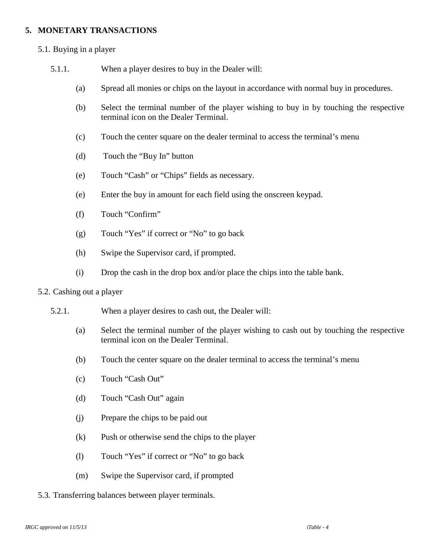#### **5. MONETARY TRANSACTIONS**

- 5.1. Buying in a player
	- 5.1.1. When a player desires to buy in the Dealer will:
		- (a) Spread all monies or chips on the layout in accordance with normal buy in procedures.
		- (b) Select the terminal number of the player wishing to buy in by touching the respective terminal icon on the Dealer Terminal.
		- (c) Touch the center square on the dealer terminal to access the terminal's menu
		- (d) Touch the "Buy In" button
		- (e) Touch "Cash" or "Chips" fields as necessary.
		- (e) Enter the buy in amount for each field using the onscreen keypad.
		- (f) Touch "Confirm"
		- (g) Touch "Yes" if correct or "No" to go back
		- (h) Swipe the Supervisor card, if prompted.
		- (i) Drop the cash in the drop box and/or place the chips into the table bank.

#### 5.2. Cashing out a player

- 5.2.1. When a player desires to cash out, the Dealer will:
	- (a) Select the terminal number of the player wishing to cash out by touching the respective terminal icon on the Dealer Terminal.
	- (b) Touch the center square on the dealer terminal to access the terminal's menu
	- (c) Touch "Cash Out"
	- (d) Touch "Cash Out" again
	- (j) Prepare the chips to be paid out
	- (k) Push or otherwise send the chips to the player
	- (l) Touch "Yes" if correct or "No" to go back
	- (m) Swipe the Supervisor card, if prompted

#### 5.3. Transferring balances between player terminals.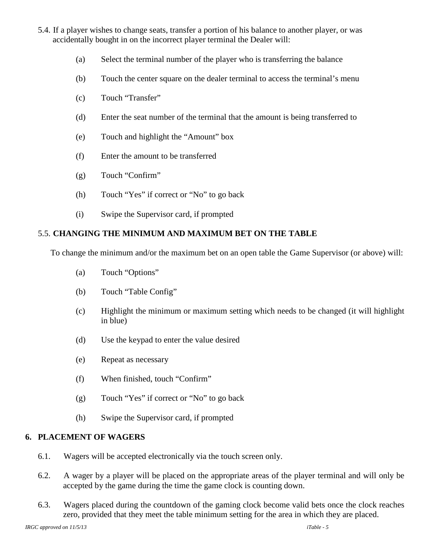- 5.4. If a player wishes to change seats, transfer a portion of his balance to another player, or was accidentally bought in on the incorrect player terminal the Dealer will:
	- (a) Select the terminal number of the player who is transferring the balance
	- (b) Touch the center square on the dealer terminal to access the terminal's menu
	- (c) Touch "Transfer"
	- (d) Enter the seat number of the terminal that the amount is being transferred to
	- (e) Touch and highlight the "Amount" box
	- (f) Enter the amount to be transferred
	- (g) Touch "Confirm"
	- (h) Touch "Yes" if correct or "No" to go back
	- (i) Swipe the Supervisor card, if prompted

# 5.5. **CHANGING THE MINIMUM AND MAXIMUM BET ON THE TABLE**

To change the minimum and/or the maximum bet on an open table the Game Supervisor (or above) will:

- (a) Touch "Options"
- (b) Touch "Table Config"
- (c) Highlight the minimum or maximum setting which needs to be changed (it will highlight in blue)
- (d) Use the keypad to enter the value desired
- (e) Repeat as necessary
- (f) When finished, touch "Confirm"
- (g) Touch "Yes" if correct or "No" to go back
- (h) Swipe the Supervisor card, if prompted

## **6. PLACEMENT OF WAGERS**

- 6.1. Wagers will be accepted electronically via the touch screen only.
- 6.2. A wager by a player will be placed on the appropriate areas of the player terminal and will only be accepted by the game during the time the game clock is counting down.
- 6.3. Wagers placed during the countdown of the gaming clock become valid bets once the clock reaches zero, provided that they meet the table minimum setting for the area in which they are placed.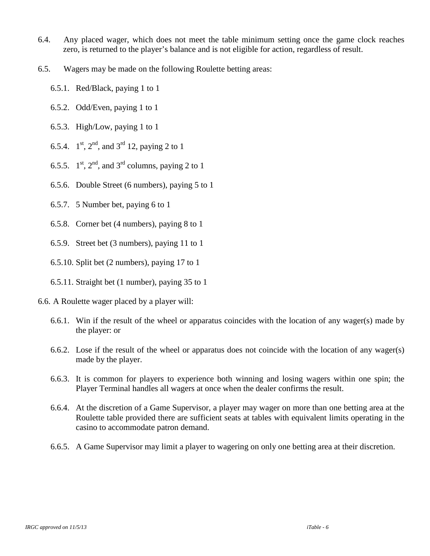- 6.4. Any placed wager, which does not meet the table minimum setting once the game clock reaches zero, is returned to the player's balance and is not eligible for action, regardless of result.
- 6.5. Wagers may be made on the following Roulette betting areas:
	- 6.5.1. Red/Black, paying 1 to 1
	- 6.5.2. Odd/Even, paying 1 to 1
	- 6.5.3. High/Low, paying 1 to 1
	- 6.5.4.  $1^{st}$ ,  $2^{nd}$ , and  $3^{rd}$  12, paying 2 to 1
	- 6.5.5.  $1<sup>st</sup>$ ,  $2<sup>nd</sup>$ , and  $3<sup>rd</sup>$  columns, paying 2 to 1
	- 6.5.6. Double Street (6 numbers), paying 5 to 1
	- 6.5.7. 5 Number bet, paying 6 to 1
	- 6.5.8. Corner bet (4 numbers), paying 8 to 1
	- 6.5.9. Street bet (3 numbers), paying 11 to 1
	- 6.5.10. Split bet (2 numbers), paying 17 to 1
	- 6.5.11. Straight bet (1 number), paying 35 to 1
- 6.6. A Roulette wager placed by a player will:
	- 6.6.1. Win if the result of the wheel or apparatus coincides with the location of any wager(s) made by the player: or
	- 6.6.2. Lose if the result of the wheel or apparatus does not coincide with the location of any wager(s) made by the player.
	- 6.6.3. It is common for players to experience both winning and losing wagers within one spin; the Player Terminal handles all wagers at once when the dealer confirms the result.
	- 6.6.4. At the discretion of a Game Supervisor, a player may wager on more than one betting area at the Roulette table provided there are sufficient seats at tables with equivalent limits operating in the casino to accommodate patron demand.
	- 6.6.5. A Game Supervisor may limit a player to wagering on only one betting area at their discretion.